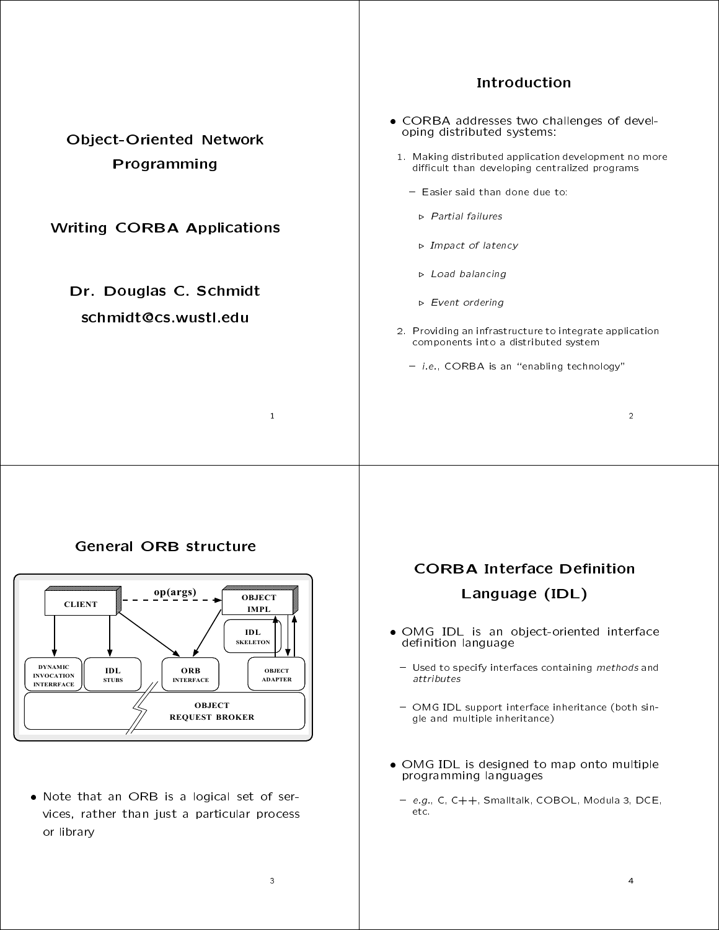|                                                | <b>Introduction</b>                                                                                                                                                                                                          |
|------------------------------------------------|------------------------------------------------------------------------------------------------------------------------------------------------------------------------------------------------------------------------------|
| <b>Object-Oriented Network</b><br>Programming  | • CORBA addresses two challenges of devel-<br>oping distributed systems:<br>1. Making distributed application development no more<br>difficult than developing centralized programs<br>$-$ Easier said than done due to:     |
| <b>Writing CORBA Applications</b>              | $\triangleright$ Partial failures<br>$\triangleright$ Impact of latency                                                                                                                                                      |
| Dr. Douglas C. Schmidt<br>schmidt@cs.wustl.edu | $\triangleright$ Load balancing<br>$\triangleright$ Event ordering<br>2. Providing an infrastructure to integrate application<br>components into a distributed system<br>$-$ <i>i.e.</i> , CORBA is an "enabling technology" |
| $\mathbf{1}$                                   | $\overline{2}$                                                                                                                                                                                                               |
|                                                |                                                                                                                                                                                                                              |

## General ORB structure



 $N_{\rm B}$  is a logical set of series of series of series of series of series of series of series of series of series of series of series of series of series of series of series of series of series of series of series of se vices, rather than just a particular process or library

# **CORBA Interface Definition** Language (IDL)

- OMG IDL is an object-oriented interface definition language
- Used to specify interfaces containing methods and attributes
- ${\bf r}$  and  ${\bf r}$  is equipped in the interface inheritance (both single and multiple inheritance)
- OMG IDL is designed to map onto multiple programming languages in the set of the set of the set of the set of the set of the set of the set of the set o
	- { e.g., C, C++, Smalltalk, COBOL, Modula 3, DCE, etc.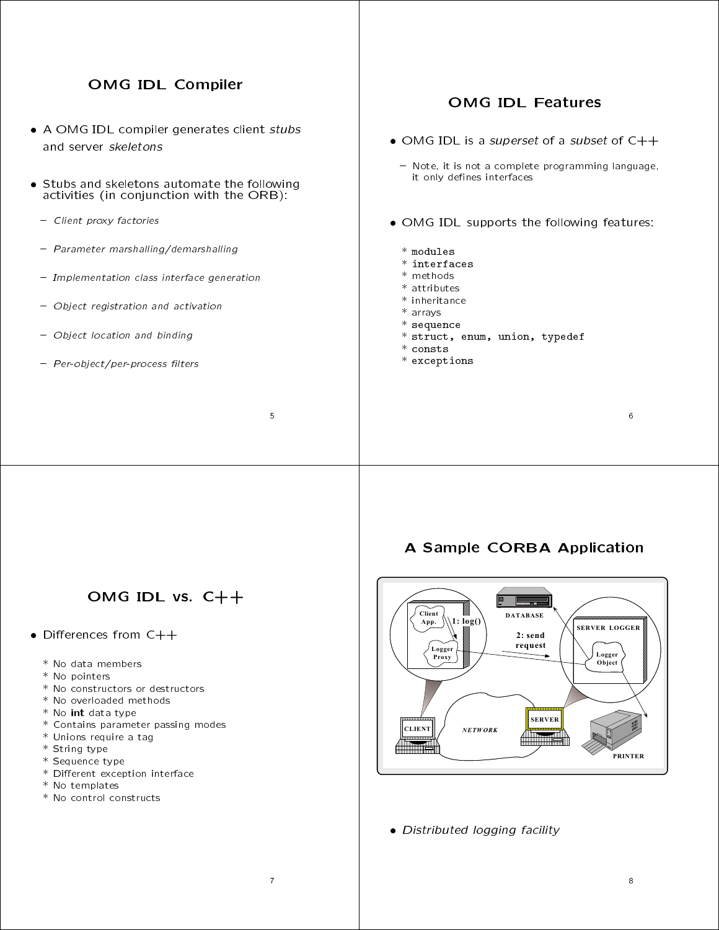## OMG IDL Compiler

- A OMG IDL compiler generates client stubs and server skeletons
- Stubs and skeletons automate the following activities (in conjunction with the ORB):
	- Client proxy factories
	- Parameter marshalling/demarshalling
	- Implementation class interface generation
- Object registration and activation
- Object location and binding
- Per-object/per-process filters

### **OMG IDL Features**

- OMG IDL is a subset of a subset of a subset of a subset of  $\mathcal{C}_+$  , and  $\mathcal{C}_+$
- Note, it is not a complete programming language, it only denes interfaces
- OMG IDL supports the following features:
	- \* modules
	- \* interfaces
	- \* methods
	- \* attributes
	- \* inheritance
- \* arrays
- \* sequence
- \* struct, enum, union, typedef
- \* consts
- \* exceptions

# OMG IDL vs. C++

- Dierences from C++
	- \* No data members
	- \* No pointers
	- \* No constructors or destructors
	- \* No overloaded methods
	- \* No int data type
	- \* Contains parameter passing modes
	- \* Unions require a tag
	- \* String type
	- \* Sequence type
	- \* Different exception interface
	- \* No templates
	- \* No control constructs

## A Sample CORBA Application



Distributed logging facility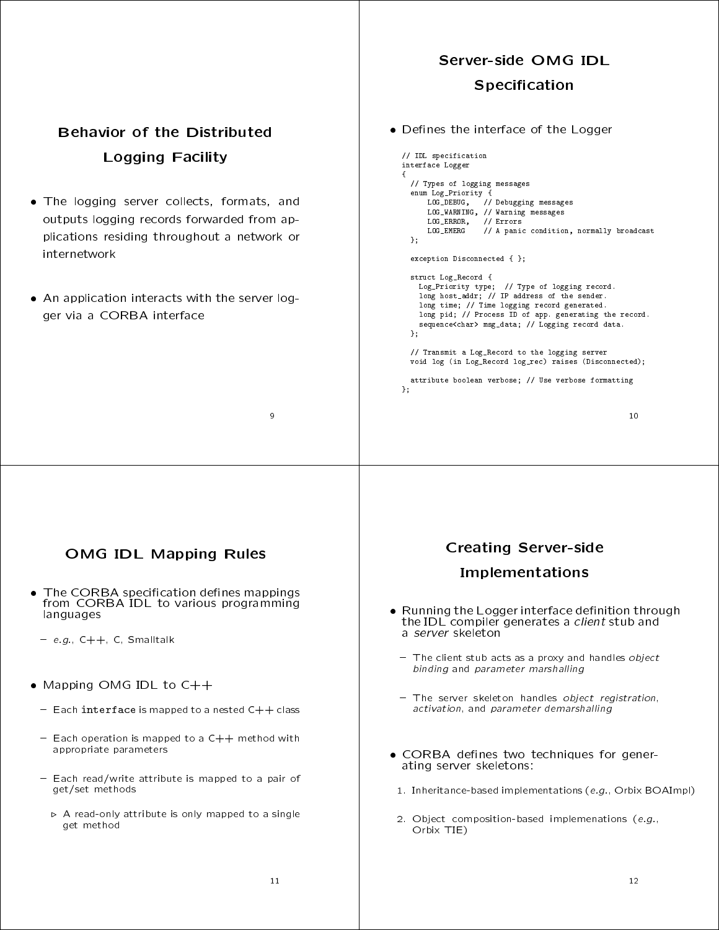# Server-side OMG IDL **Specification**

Special contract the contract of the contract of the contract of the contract of the contract of the contract o

# **Behavior of the Distributed** Logging Facility

- The logging server collects, formats, and outputs logging records forwarded from applications residing throughout a network or internetwork
- An application interacts with the server logger via a CORBA interface  $\epsilon$  and  $\epsilon$  a CORBA interface interface interface interface interface interface interface interface in

#### de entre en terreface of the Logger of the Logger of the Logger of the Logger of the Logger of the Logger of the

```
// IDL specification
interface Logger
\sqrt{ }{\bf r} and {\bf r} are the set of the set of the set of the set of the set of the set of the set of the set of the set of the set of the set of the set of the set of the set of the set of the set of the set of the set of t
  enum Log_Priority {
   // Types of logging messages
        LOG_DEBUG, // Debugging messages
         LOG_ERROR, // Errors
         LOG_EMERG // A panic condition, normally broadcast
  \lambda:
   };
   exception Disconnected { };
   struct Log_Record {
     Log_Priority type; // Type of logging record.<br>long host_addr; // IP address of the sender.
      -vag avor_rana, y, a sender.<br>long time; // Time logging record generated.<br>long pid; // Process ID of app. generating the record.
     sequence<char> msg_data; // Logging record data.
  \mathcal{L}};
  // Transmit a Log_Record to the logging server
  void log (in Log_Record log_rec) raises (Disconnected);
  attribute boolean verbose; // Use verbose formatting
};
```
## OMG IDL Mapping Rules

- The CORBA specification defines mappings from CORBA IDL to various programming languages
- $= e.g., C++, C, Smalltalk$
- $\mathcal{M}$  . The change of  $\mathcal{M}$  is contact to change of  $\mathcal{M}$  . The change of  $\mathcal{M}$
- $=$  Each interface is mapped to a nested  $C++$  class
- $-$  Each operation is mapped to a  $C++$  method with appropriate parameters
- Each read/write attribute is mapped to a pair of get/set methods
	- $\triangleright$  A read-only attribute is only mapped to a single get method

#### Creating Server-side

#### Implementations

- Running the Logger interface definition through Running the Logger interface denition through the IDL compiler generates a client stub and a server skeleton
	- The client stub acts as a proxy and handles object binding and parameter marshalling
	- The server skeleton handles object registration, activation, and parameter demarshalling
- corba de nes two techniques for generating server skeletons:
- 1. Inheritance-based implementations (e.g., Orbix BOAImpl)
- 2. Object composition-based implemenations (e.g., Orbix TIE)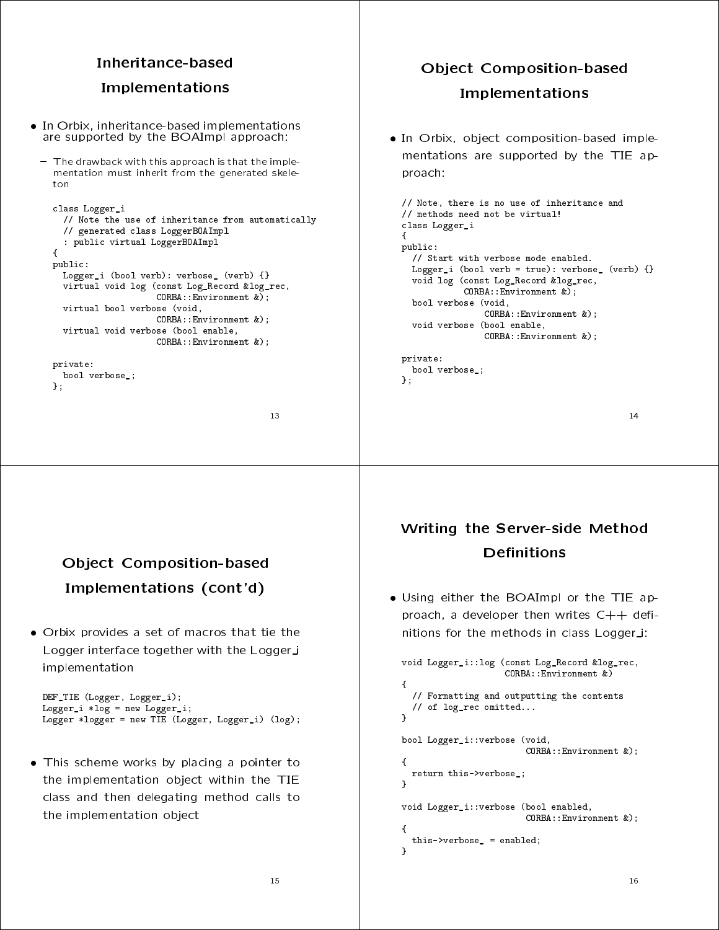#### Inheritance-based

#### Implementations Implementations are all the contract of the contract of the contract of the contract of the contract of the contract of the contract of the contract of the contract of the contract of the contract of the contract of the co

- In Orbix, inheritance-based implementations In Orbix, inheritance-based implementations are supported by the BOAImpl approach: the BOAImpl approach: the BOAImpl approach: the BOAImpl approach: the B
	- The drawback with this approach is that the implementation must inherit from the generated skele $tan$

```
class Logger_i
   // Note the use of inheritance from automatically
   // generated class LoggerBOAImpl
   : public virtual LoggerBOAImpl
{\color{red} \bullet} . The contract of the contract of the contract of the contract of the contract of the contract of the contract of the contract of the contract of the contract of the contract of the contract of the contract of 
public:
   Logger_i (bool verb): verbose_ (verb) {}
   virtual void log (const Log_Record &log_rec,
                                 CORBA::Environment &);
   virtual bool verbose (void,
                                CORBA::Environment &);
   virtual void verbose (bool enable,
                                CORBA::Environment &);
```

```
private:
  bool verbose_;
\mathbf{v}};
```
};

}

# Object Composition-based Implementations

 In Orbix, object composition-based implementations are supported by the TIE approach: provided a series of the contract of the contract of the contract of the contract of the contract of the contract of the contract of the contract of the contract of the contract of the contract of the contract of the contr

```
// Note, there is no use of inheritance and
// methods need not be virtual!
class Logger_i
Ł
{\bf r} and {\bf r} are the set of the set of the set of the set of the set of the set of the set of the set of the set of the set of the set of the set of the set of the set of the set of the set of the set of the set of t
public:
  // Start with verbose mode enabled.
  Logger_i (bool verb = true): verbose_ (verb) {}
  void log (const Log_Record &log_rec,
                 CORBA::Environment &);
  bool verbose (void,
                       CORBA:: Environment &):
                        CORBA::Environment &);
  void verbose (bool enable,
                       CORBA::Environment &);
private:
private:
  bool verbose_;
```
#### **Obiect Composition-based** Object Composition-based Implementations (cont'd)

 Orbix provides a set of macros that tie the Logger interface together with the Logger\_i implementation

```
DEF_TIE (Logger, Logger_i);
Logger_i *log = new Logger_i;
Logger *logger = new TIE (Logger, Logger_i) (log);
```
 This scheme works by placing a pointer to the implementation object within the TIE class and then delegating method calls to the implementation object

# Writing the Server-side Method **Definitions**

Using the Boain of Boaing or the Time appearance of the Time appearance of the Time appearance of the Time appearance of the Time appearance of the Time appearance of the Time appearance of the Time appearance of the Time proach, a developer then writes  $C++$  definitions for the methods in class Logger\_i:

```
void Logger_i::log (const Log_Record &log_rec,
                                                CORBA::Environment &)
 {\bf r} and {\bf r} are the set of the set of the set of the set of the set of the set of the set of the set of the set of the set of the set of the set of the set of the set of the set of the set of the set of the set of t
     // Formatting and outputting the contents
    // of log_rec omitted...
 }
bool Logger_i::verbose (void,
                                                         CORBA::Environment &);
ł.
 {\bf x} and {\bf x} are all {\bf x} and {\bf x} are all {\bf x}return this->verbose_;
ł.
 }
void Logger_i::verbose (bool enabled,
                                                         CORBA::Environment &);
Ł
 {\bf r} and {\bf r} are the set of the set of the set of the set of the set of the set of the set of the set of the set of the set of the set of the set of the set of the set of the set of the set of the set of the set of t
    this->verbose_ = enabled;
ì.
```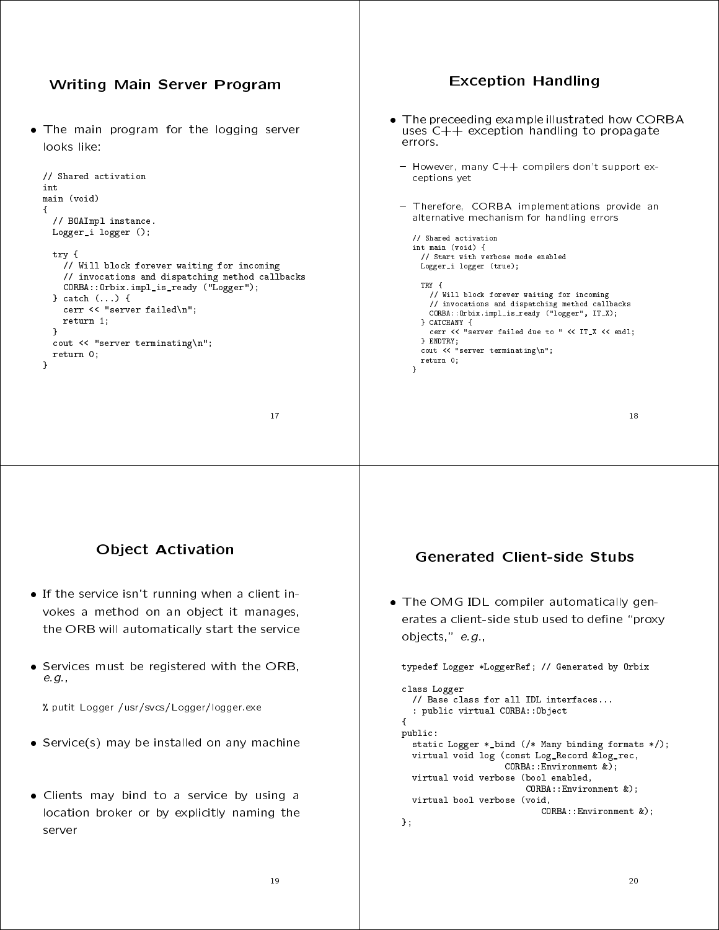

- the ORB will automatically start the service the ORB will also will also will also will also will also will also will also will also will also will also will also will also will also will also will also will also will also will also will also will also will also wil
- Services must be registered with the ORB, e.g.,

% putit Logger /usr/svcs/Logger/logger.exe

- Service(s) may be installed on any machine
- Clients may bind to a service by using a location broker or by explicitly naming the server

erates a client-side stub used to define "proxy objects," e.g.,

typedef Logger \*LoggerRef; // Generated by Orbix class Logger // Base class for all IDL interfaces... : public virtual CORBA::Object  ${\bf r}$  and  ${\bf r}$  are the set of the set of the set of the set of the set of the set of the set of the set of the set of the set of the set of the set of the set of the set of the set of the set of the set of the set of t public: public control of the control of the control of the control of the control of the control of the control of the control of the control of the control of the control of the control of the control of the control of the contr static Logger \*\_bind (/\* Many binding formats \*/); virtual void log (const Log\_Record &log\_rec, CORBA::Environment &); virtual void verbose (bool enabled, CORBA::Environment &); virtual bool verbose (void, CORBA::Environment &); };